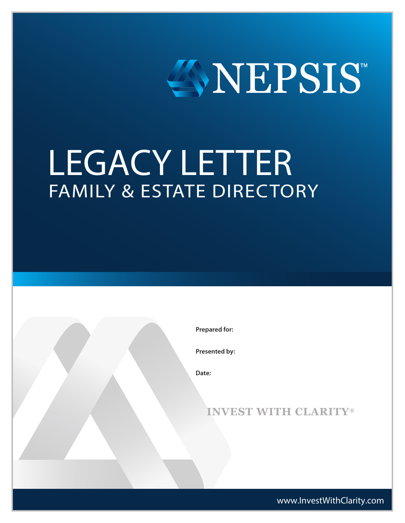

# LEGACY LETTER FAMILY & ESTATE DIRECTORY

**Prepared for:**

**Presented by:**

**Date:**

### **INVEST WITH CLARITY®**

www.InvestWithClarity.com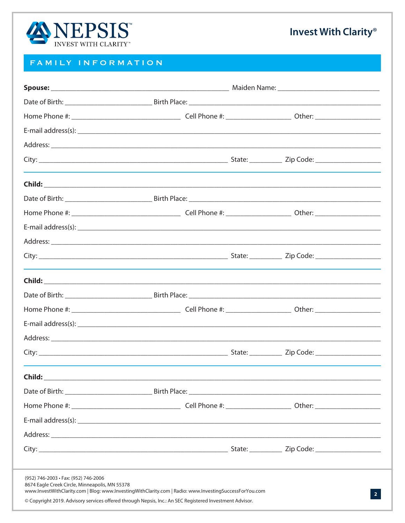

#### FAMILY INFORMATION

|                                                                                        |                                                                                                                                                                                                                   | E-mail address(s): example and a set of the set of the set of the set of the set of the set of the set of the set of the set of the set of the set of the set of the set of the set of the set of the set of the set of the se |
|----------------------------------------------------------------------------------------|-------------------------------------------------------------------------------------------------------------------------------------------------------------------------------------------------------------------|--------------------------------------------------------------------------------------------------------------------------------------------------------------------------------------------------------------------------------|
|                                                                                        |                                                                                                                                                                                                                   |                                                                                                                                                                                                                                |
|                                                                                        |                                                                                                                                                                                                                   |                                                                                                                                                                                                                                |
| Child:                                                                                 |                                                                                                                                                                                                                   |                                                                                                                                                                                                                                |
|                                                                                        |                                                                                                                                                                                                                   |                                                                                                                                                                                                                                |
|                                                                                        |                                                                                                                                                                                                                   |                                                                                                                                                                                                                                |
|                                                                                        |                                                                                                                                                                                                                   |                                                                                                                                                                                                                                |
|                                                                                        |                                                                                                                                                                                                                   |                                                                                                                                                                                                                                |
|                                                                                        |                                                                                                                                                                                                                   |                                                                                                                                                                                                                                |
| (952) 746-2003 · Fax: (952) 746-2006<br>8674 Eagle Creek Circle, Minneapolis, MN 55378 | www.InvestWithClarity.com   Blog: www.InvestingWithClarity.com   Radio: www.InvestingSuccessForYou.com<br>© Copyright 2019. Advisory services offered through Nepsis, Inc.: An SEC Registered Investment Advisor. | $\overline{2}$                                                                                                                                                                                                                 |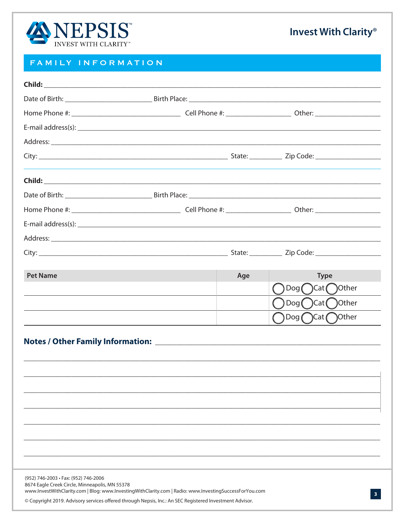

#### FAMILY INFORMATION

|                                                                                        |                                                                                                                                                                                                                   |     | E-mail address(s): example and a set of the set of the set of the set of the set of the set of the set of the set of the set of the set of the set of the set of the set of the set of the set of the set of the set of the se |
|----------------------------------------------------------------------------------------|-------------------------------------------------------------------------------------------------------------------------------------------------------------------------------------------------------------------|-----|--------------------------------------------------------------------------------------------------------------------------------------------------------------------------------------------------------------------------------|
|                                                                                        |                                                                                                                                                                                                                   |     |                                                                                                                                                                                                                                |
|                                                                                        |                                                                                                                                                                                                                   |     |                                                                                                                                                                                                                                |
|                                                                                        |                                                                                                                                                                                                                   |     |                                                                                                                                                                                                                                |
|                                                                                        |                                                                                                                                                                                                                   |     |                                                                                                                                                                                                                                |
|                                                                                        |                                                                                                                                                                                                                   |     |                                                                                                                                                                                                                                |
|                                                                                        |                                                                                                                                                                                                                   |     |                                                                                                                                                                                                                                |
|                                                                                        |                                                                                                                                                                                                                   |     |                                                                                                                                                                                                                                |
|                                                                                        |                                                                                                                                                                                                                   |     |                                                                                                                                                                                                                                |
| <b>Pet Name</b>                                                                        |                                                                                                                                                                                                                   | Age | <b>Type</b><br>$\text{Dog}(\ )\text{Cat}(\ )$ Other                                                                                                                                                                            |
|                                                                                        |                                                                                                                                                                                                                   |     | $\text{Dog}(\ )\text{Cat}(\ )$ Other                                                                                                                                                                                           |
|                                                                                        |                                                                                                                                                                                                                   |     | $\text{Dog}(\ )$ Cat $(\ )$ Other                                                                                                                                                                                              |
|                                                                                        |                                                                                                                                                                                                                   |     |                                                                                                                                                                                                                                |
|                                                                                        |                                                                                                                                                                                                                   |     |                                                                                                                                                                                                                                |
|                                                                                        |                                                                                                                                                                                                                   |     |                                                                                                                                                                                                                                |
|                                                                                        |                                                                                                                                                                                                                   |     |                                                                                                                                                                                                                                |
| (952) 746-2003 · Fax: (952) 746-2006<br>8674 Eagle Creek Circle, Minneapolis, MN 55378 | www.InvestWithClarity.com   Blog: www.InvestingWithClarity.com   Radio: www.InvestingSuccessForYou.com<br>© Copyright 2019. Advisory services offered through Nepsis, Inc.: An SEC Registered Investment Advisor. |     |                                                                                                                                                                                                                                |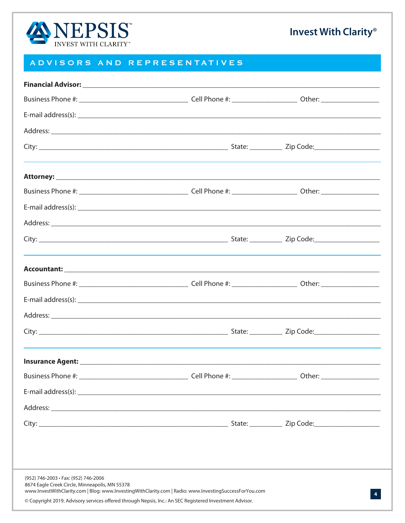

#### ADVISORS AND REPRESENTATIVES

| E-mail address(s): example and a series of the series of the series of the series of the series of the series of the series of the series of the series of the series of the series of the series of the series of the series                                                                               |  |
|-------------------------------------------------------------------------------------------------------------------------------------------------------------------------------------------------------------------------------------------------------------------------------------------------------------|--|
|                                                                                                                                                                                                                                                                                                             |  |
|                                                                                                                                                                                                                                                                                                             |  |
|                                                                                                                                                                                                                                                                                                             |  |
|                                                                                                                                                                                                                                                                                                             |  |
|                                                                                                                                                                                                                                                                                                             |  |
|                                                                                                                                                                                                                                                                                                             |  |
|                                                                                                                                                                                                                                                                                                             |  |
|                                                                                                                                                                                                                                                                                                             |  |
|                                                                                                                                                                                                                                                                                                             |  |
|                                                                                                                                                                                                                                                                                                             |  |
|                                                                                                                                                                                                                                                                                                             |  |
|                                                                                                                                                                                                                                                                                                             |  |
|                                                                                                                                                                                                                                                                                                             |  |
|                                                                                                                                                                                                                                                                                                             |  |
|                                                                                                                                                                                                                                                                                                             |  |
|                                                                                                                                                                                                                                                                                                             |  |
|                                                                                                                                                                                                                                                                                                             |  |
|                                                                                                                                                                                                                                                                                                             |  |
| (952) 746-2003 · Fax: (952) 746-2006<br>8674 Eagle Creek Circle, Minneapolis, MN 55378<br>www.InvestWithClarity.com   Blog: www.InvestingWithClarity.com   Radio: www.InvestingSuccessForYou.com<br>© Copyright 2019. Advisory services offered through Nepsis, Inc.: An SEC Registered Investment Advisor. |  |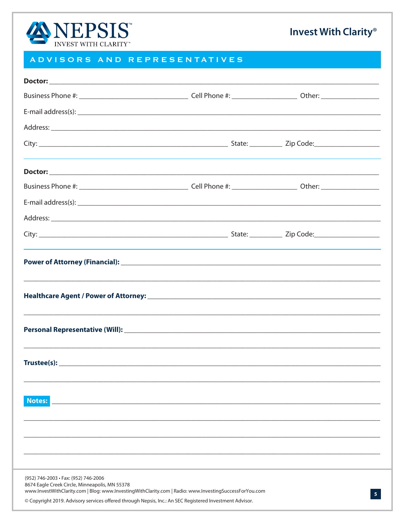

#### ADVISORS AND REPRESENTATIVES

| E-mail address(s): example and a series of the series of the series of the series of the series of the series of the series of the series of the series of the series of the series of the series of the series of the series |                |
|-------------------------------------------------------------------------------------------------------------------------------------------------------------------------------------------------------------------------------|----------------|
|                                                                                                                                                                                                                               |                |
|                                                                                                                                                                                                                               |                |
|                                                                                                                                                                                                                               |                |
|                                                                                                                                                                                                                               |                |
|                                                                                                                                                                                                                               |                |
|                                                                                                                                                                                                                               |                |
| <b>Notes:</b>                                                                                                                                                                                                                 |                |
|                                                                                                                                                                                                                               |                |
| (952) 746-2003 · Fax: (952) 746-2006                                                                                                                                                                                          |                |
| 8674 Eagle Creek Circle, Minneapolis, MN 55378<br>www.InvestWithClarity.com   Blog: www.InvestingWithClarity.com   Radio: www.InvestingSuccessForYou.com                                                                      | 5 <sup>5</sup> |
| © Copyright 2019. Advisory services offered through Nepsis, Inc.: An SEC Registered Investment Advisor.                                                                                                                       |                |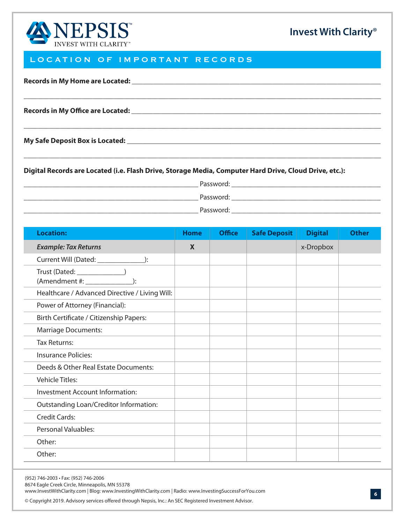

#### LOCATION OF IMPORTANT RECORDS

| <b>Records in My Home are Located:</b> |  |  |  |
|----------------------------------------|--|--|--|
|                                        |  |  |  |

**Records in My Office are Located: \_\_\_\_\_\_\_\_\_\_\_\_\_\_\_\_\_\_\_\_\_\_\_\_\_\_\_\_\_\_\_\_\_\_\_\_\_\_\_\_\_\_\_\_\_\_\_\_\_\_\_\_\_\_\_\_\_\_\_\_\_\_\_\_\_\_\_\_\_**

**My Safe Deposit Box is Located: \_\_\_\_\_\_\_\_\_\_\_\_\_\_\_\_\_\_\_\_\_\_\_\_\_\_\_\_\_\_\_\_\_\_\_\_\_\_\_\_\_\_\_\_\_\_\_\_\_\_\_\_\_\_\_\_\_\_\_\_\_\_\_\_\_\_\_\_\_\_\_**

**Digital Records are Located (i.e. Flash Drive, Storage Media, Computer Hard Drive, Cloud Drive, etc.):**

**\_\_\_\_\_\_\_\_\_\_\_\_\_\_\_\_\_\_\_\_\_\_\_\_\_\_\_\_\_\_\_\_\_\_\_\_\_\_\_\_\_\_\_\_\_\_\_\_** Password: **\_\_\_\_\_\_\_\_\_\_\_\_\_\_\_\_\_\_\_\_\_\_\_\_\_\_\_\_\_\_\_\_\_\_\_\_\_\_\_\_\_**

**\_\_\_\_\_\_\_\_\_\_\_\_\_\_\_\_\_\_\_\_\_\_\_\_\_\_\_\_\_\_\_\_\_\_\_\_\_\_\_\_\_\_\_\_\_\_\_\_\_\_\_\_\_\_\_\_\_\_\_\_\_\_\_\_\_\_\_\_\_\_\_\_\_\_\_\_\_\_\_\_\_\_\_\_\_\_\_\_\_\_\_\_\_\_\_\_\_\_\_**

**\_\_\_\_\_\_\_\_\_\_\_\_\_\_\_\_\_\_\_\_\_\_\_\_\_\_\_\_\_\_\_\_\_\_\_\_\_\_\_\_\_\_\_\_\_\_\_\_\_\_\_\_\_\_\_\_\_\_\_\_\_\_\_\_\_\_\_\_\_\_\_\_\_\_\_\_\_\_\_\_\_\_\_\_\_\_\_\_\_\_\_\_\_\_\_\_\_\_\_**

**\_\_\_\_\_\_\_\_\_\_\_\_\_\_\_\_\_\_\_\_\_\_\_\_\_\_\_\_\_\_\_\_\_\_\_\_\_\_\_\_\_\_\_\_\_\_\_\_\_\_\_\_\_\_\_\_\_\_\_\_\_\_\_\_\_\_\_\_\_\_\_\_\_\_\_\_\_\_\_\_\_\_\_\_\_\_\_\_\_\_\_\_\_\_\_\_\_\_\_**

**\_\_\_\_\_\_\_\_\_\_\_\_\_\_\_\_\_\_\_\_\_\_\_\_\_\_\_\_\_\_\_\_\_\_\_\_\_\_\_\_\_\_\_\_\_\_\_\_** Password: **\_\_\_\_\_\_\_\_\_\_\_\_\_\_\_\_\_\_\_\_\_\_\_\_\_\_\_\_\_\_\_\_\_\_\_\_\_\_\_\_\_ \_\_\_\_\_\_\_\_\_\_\_\_\_\_\_\_\_\_\_\_\_\_\_\_\_\_\_\_\_\_\_\_\_\_\_\_\_\_\_\_\_\_\_\_\_\_\_\_** Password: **\_\_\_\_\_\_\_\_\_\_\_\_\_\_\_\_\_\_\_\_\_\_\_\_\_\_\_\_\_\_\_\_\_\_\_\_\_\_\_\_\_**

| <b>Location:</b>                               | <b>Home</b> | <b>Office</b> | <b>Safe Deposit</b> | <b>Digital</b> | <b>Other</b> |
|------------------------------------------------|-------------|---------------|---------------------|----------------|--------------|
| <b>Example: Tax Returns</b>                    | $\mathbf x$ |               |                     | x-Dropbox      |              |
|                                                |             |               |                     |                |              |
|                                                |             |               |                     |                |              |
| Healthcare / Advanced Directive / Living Will: |             |               |                     |                |              |
| Power of Attorney (Financial):                 |             |               |                     |                |              |
| Birth Certificate / Citizenship Papers:        |             |               |                     |                |              |
| <b>Marriage Documents:</b>                     |             |               |                     |                |              |
| <b>Tax Returns:</b>                            |             |               |                     |                |              |
| <b>Insurance Policies:</b>                     |             |               |                     |                |              |
| Deeds & Other Real Estate Documents:           |             |               |                     |                |              |
| <b>Vehicle Titles:</b>                         |             |               |                     |                |              |
| Investment Account Information:                |             |               |                     |                |              |
| Outstanding Loan/Creditor Information:         |             |               |                     |                |              |
| <b>Credit Cards:</b>                           |             |               |                     |                |              |
| Personal Valuables:                            |             |               |                     |                |              |
| Other:                                         |             |               |                     |                |              |
| Other:                                         |             |               |                     |                |              |

(952) 746-2003 · Fax: (952) 746-2006

8674 Eagle Creek Circle, Minneapolis, MN 55378

www.lnvestWithClarity.com | Blog: www.lnvestingWithClarity.com | Radio: www.lnvestingSuccessForYou.com

© Copyright 2019. Advisory services offered through Nepsis, Inc.: An SEC Registered Investment Advisor.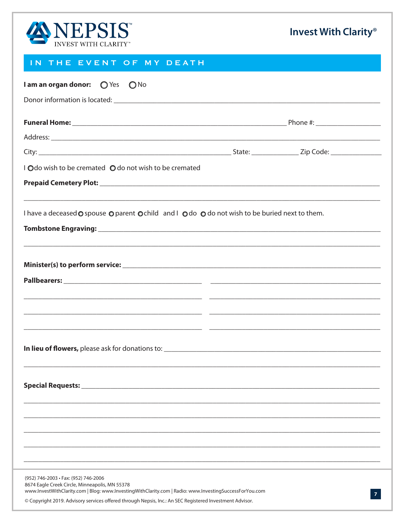

### IN THE EVENT OF MY DEATH

| I am an organ donor: O Yes O No                                                                                                                                                                                   |  |
|-------------------------------------------------------------------------------------------------------------------------------------------------------------------------------------------------------------------|--|
|                                                                                                                                                                                                                   |  |
|                                                                                                                                                                                                                   |  |
|                                                                                                                                                                                                                   |  |
|                                                                                                                                                                                                                   |  |
| I Odo wish to be cremated O do not wish to be cremated                                                                                                                                                            |  |
|                                                                                                                                                                                                                   |  |
| I have a deceased O spouse O parent O child and I O do O do not wish to be buried next to them.                                                                                                                   |  |
|                                                                                                                                                                                                                   |  |
| ,我们也不能在这里的人,我们也不能在这里的人,我们也不能在这里的人,我们也不能在这里的人,我们也不能在这里的人,我们也不能在这里的人,我们也不能在这里的人,我们也                                                                                                                                 |  |
|                                                                                                                                                                                                                   |  |
|                                                                                                                                                                                                                   |  |
|                                                                                                                                                                                                                   |  |
|                                                                                                                                                                                                                   |  |
|                                                                                                                                                                                                                   |  |
|                                                                                                                                                                                                                   |  |
|                                                                                                                                                                                                                   |  |
|                                                                                                                                                                                                                   |  |
|                                                                                                                                                                                                                   |  |
|                                                                                                                                                                                                                   |  |
|                                                                                                                                                                                                                   |  |
|                                                                                                                                                                                                                   |  |
|                                                                                                                                                                                                                   |  |
|                                                                                                                                                                                                                   |  |
| (952) 746-2003 • Fax: (952) 746-2006<br>8674 Eagle Creek Circle, Minneapolis, MN 55378                                                                                                                            |  |
| www.InvestWithClarity.com   Blog: www.InvestingWithClarity.com   Radio: www.InvestingSuccessForYou.com<br>© Copyright 2019. Advisory services offered through Nepsis, Inc.: An SEC Registered Investment Advisor. |  |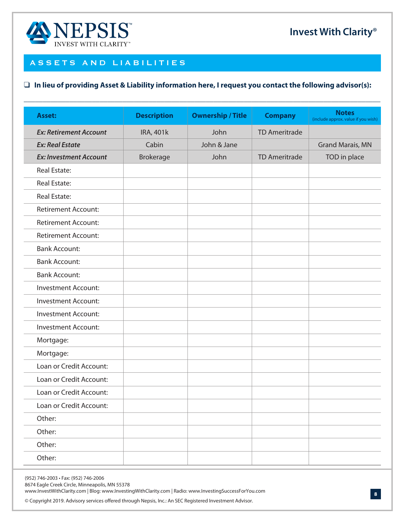

#### ASSETS AND LIABILITIES

#### $\Box$  In lieu of providing Asset & Liability information here, I request you contact the following advisor(s):

| <b>Asset:</b>                 | <b>Description</b> | <b>Ownership / Title</b> | <b>Company</b>       | <b>Notes</b><br>(include approx. value if you wish) |
|-------------------------------|--------------------|--------------------------|----------------------|-----------------------------------------------------|
| <b>Ex: Retirement Account</b> | <b>IRA, 401k</b>   | John                     | <b>TD Ameritrade</b> |                                                     |
| <b>Ex: Real Estate</b>        | Cabin              | John & Jane              |                      | <b>Grand Marais, MN</b>                             |
| <b>Ex: Investment Account</b> | <b>Brokerage</b>   | John                     | <b>TD Ameritrade</b> | TOD in place                                        |
| <b>Real Estate:</b>           |                    |                          |                      |                                                     |
| <b>Real Estate:</b>           |                    |                          |                      |                                                     |
| <b>Real Estate:</b>           |                    |                          |                      |                                                     |
| <b>Retirement Account:</b>    |                    |                          |                      |                                                     |
| <b>Retirement Account:</b>    |                    |                          |                      |                                                     |
| <b>Retirement Account:</b>    |                    |                          |                      |                                                     |
| <b>Bank Account:</b>          |                    |                          |                      |                                                     |
| <b>Bank Account:</b>          |                    |                          |                      |                                                     |
| <b>Bank Account:</b>          |                    |                          |                      |                                                     |
| <b>Investment Account:</b>    |                    |                          |                      |                                                     |
| <b>Investment Account:</b>    |                    |                          |                      |                                                     |
| <b>Investment Account:</b>    |                    |                          |                      |                                                     |
| <b>Investment Account:</b>    |                    |                          |                      |                                                     |
| Mortgage:                     |                    |                          |                      |                                                     |
| Mortgage:                     |                    |                          |                      |                                                     |
| Loan or Credit Account:       |                    |                          |                      |                                                     |
| Loan or Credit Account:       |                    |                          |                      |                                                     |
| Loan or Credit Account:       |                    |                          |                      |                                                     |
| Loan or Credit Account:       |                    |                          |                      |                                                     |
| Other:                        |                    |                          |                      |                                                     |
| Other:                        |                    |                          |                      |                                                     |
| Other:                        |                    |                          |                      |                                                     |
| Other:                        |                    |                          |                      |                                                     |

(952) 746-2003 · Fax: (952) 746-2006

8674 Eagle Creek Circle, Minneapolis, MN 55378

www.InvestWithClarity.com | Blog: www.InvestingWithClarity.com | Radio: www.InvestingSuccessForYou.com

© Copyright 2019. Advisory services offered through Nepsis, Inc.: An SEC Registered Investment Advisor.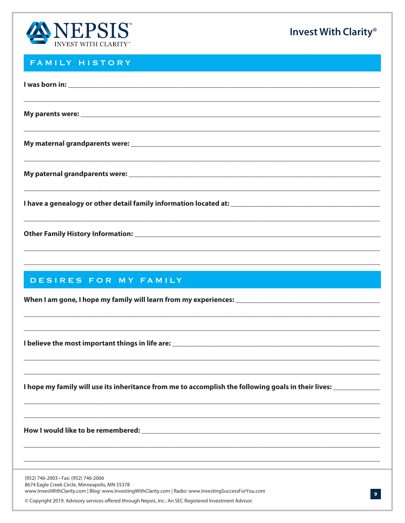

#### FAMILY HISTORY

| ,我们就会在这里的,我们就会在这里的,我们就会在这里的,我们就会在这里,我们就会在这里的,我们就会在这里,我们就会在这里的。""我们,我们就会不会不会。""我们 |
|----------------------------------------------------------------------------------|
|                                                                                  |
|                                                                                  |
|                                                                                  |
|                                                                                  |
| ,我们就会在这里的,我们就会在这里的,我们就会在这里,我们就会在这里的时候,我们就会在这里,我们就会在这里的时候,我们就会在这里,我们就会在这里的时候,我们就会 |
| DESIRES FOR MY FAMILY                                                            |
|                                                                                  |

I hope my family will use its inheritance from me to accomplish the following goals in their lives: \_\_\_\_\_\_\_\_\_\_

(952) 746-2003 · Fax: (952) 746-2006 8674 Eagle Creek Circle, Minneapolis, MN 55378 www.lnvestWithClarity.com | Blog: www.lnvestingWithClarity.com | Radio: www.lnvestingSuccessForYou.com

© Copyright 2019. Advisory services offered through Nepsis, Inc.: An SEC Registered Investment Advisor.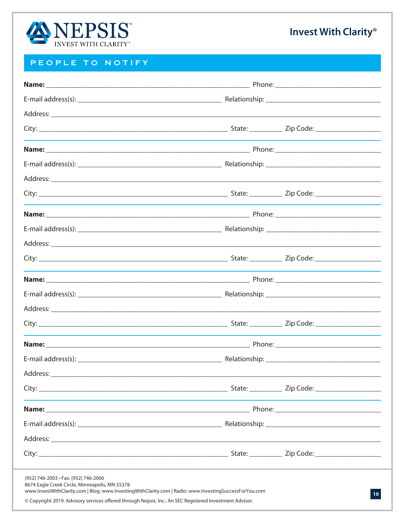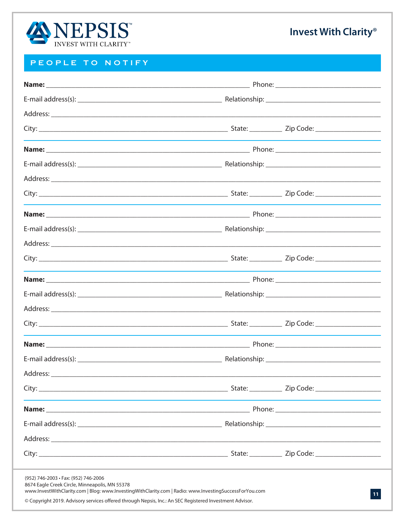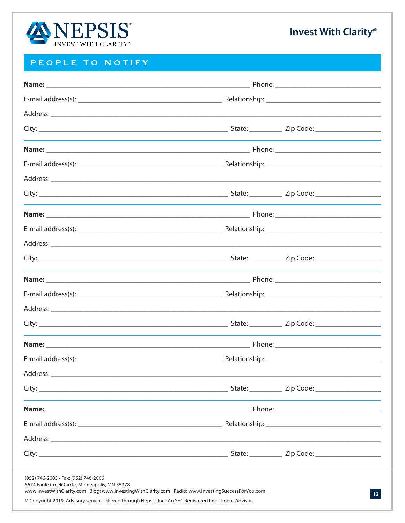

| (952) 746-2003 · Fax: (952) 746-2006<br>8674 Eagle Creek Circle, Minneapolis, MN 55378<br>www.InvestWithClarity.com   Blog: www.InvestingWithClarity.com   Radio: www.InvestingSuccessForYou.com<br>© Copyright 2019. Advisory services offered through Nepsis, Inc.: An SEC Registered Investment Advisor. |  |  |  |  |
|-------------------------------------------------------------------------------------------------------------------------------------------------------------------------------------------------------------------------------------------------------------------------------------------------------------|--|--|--|--|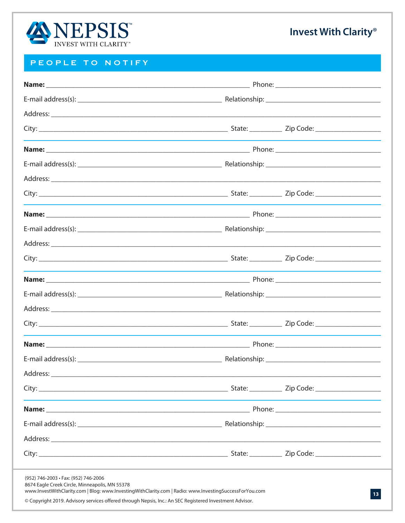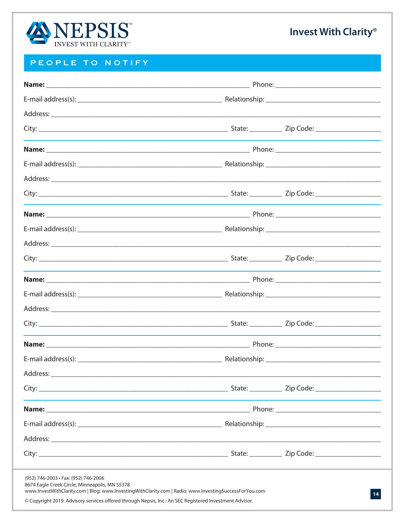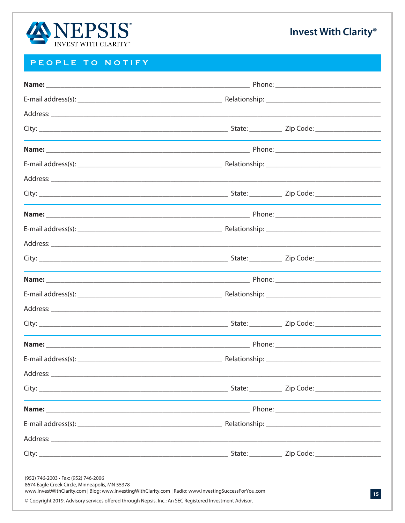

| www.InvestWithClarity.com   Blog: www.InvestingWithClarity.com   Radio: www.InvestingSuccessForYou.com<br>© Copyright 2019. Advisory services offered through Nepsis, Inc.: An SEC Registered Investment Advisor. |  |  |
|-------------------------------------------------------------------------------------------------------------------------------------------------------------------------------------------------------------------|--|--|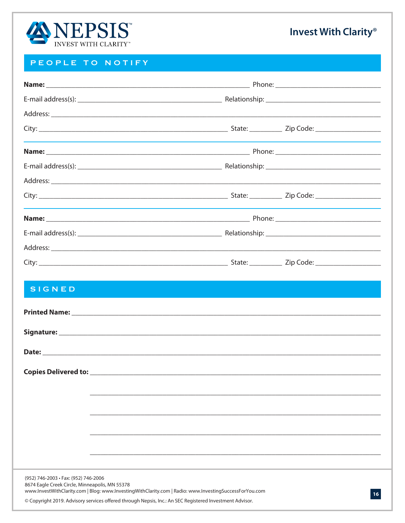

| <b>SIGNED</b>                                                                          |                                                                                                                                                                                                                                      |
|----------------------------------------------------------------------------------------|--------------------------------------------------------------------------------------------------------------------------------------------------------------------------------------------------------------------------------------|
|                                                                                        |                                                                                                                                                                                                                                      |
|                                                                                        |                                                                                                                                                                                                                                      |
|                                                                                        |                                                                                                                                                                                                                                      |
| Copies Delivered to: ______                                                            |                                                                                                                                                                                                                                      |
|                                                                                        |                                                                                                                                                                                                                                      |
|                                                                                        |                                                                                                                                                                                                                                      |
|                                                                                        |                                                                                                                                                                                                                                      |
|                                                                                        |                                                                                                                                                                                                                                      |
|                                                                                        |                                                                                                                                                                                                                                      |
| (952) 746-2003 · Fax: (952) 746-2006<br>8674 Eagle Creek Circle, Minneapolis, MN 55378 | www.InvestWithClarity.com   Blog: www.InvestingWithClarity.com   Radio: www.InvestingSuccessForYou.com<br>16 <sub>1</sub><br>© Copyright 2019. Advisory services offered through Nepsis, Inc.: An SEC Registered Investment Advisor. |